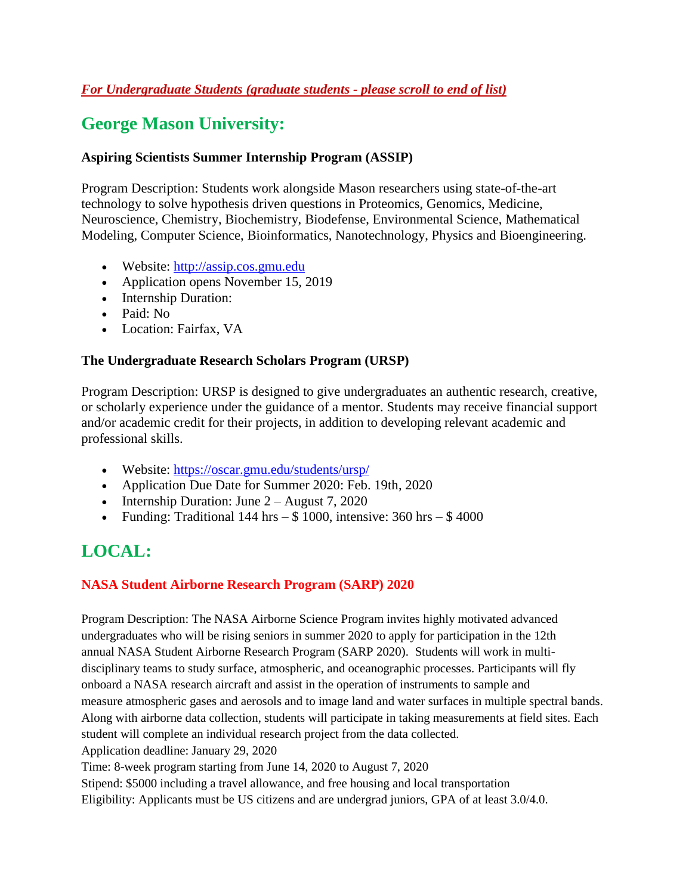# **George Mason University:**

### **Aspiring Scientists Summer Internship Program (ASSIP)**

Program Description: Students work alongside Mason researchers using state-of-the-art technology to solve hypothesis driven questions in Proteomics, Genomics, Medicine, Neuroscience, Chemistry, Biochemistry, Biodefense, Environmental Science, Mathematical Modeling, Computer Science, Bioinformatics, Nanotechnology, Physics and Bioengineering.

- Website: [http://assip.cos.gmu.edu](http://assip.cos.gmu.edu/)
- Application opens November 15, 2019
- Internship Duration:
- Paid: No
- Location: Fairfax, VA

# **The Undergraduate Research Scholars Program (URSP)**

Program Description: URSP is designed to give undergraduates an authentic research, creative, or scholarly experience under the guidance of a mentor. Students may receive financial support and/or academic credit for their projects, in addition to developing relevant academic and professional skills.

- Website: https://oscar.gmu.edu/students/ursp/
- Application Due Date for Summer 2020: Feb. 19th, 2020
- Internship Duration: June  $2 -$  August 7, 2020
- Funding: Traditional 144 hrs  $-$  \$ 1000, intensive: 360 hrs  $-$  \$ 4000

# **LOCAL:**

# **NASA Student Airborne Research Program (SARP) 2020**

Program Description: The NASA Airborne Science Program invites highly motivated advanced undergraduates who will be rising seniors in summer 2020 to apply for participation in the 12th annual NASA Student Airborne Research Program (SARP 2020). Students will work in multidisciplinary teams to study surface, atmospheric, and oceanographic processes. Participants will fly onboard a NASA research aircraft and assist in the operation of instruments to sample and measure atmospheric gases and aerosols and to image land and water surfaces in multiple spectral bands. Along with airborne data collection, students will participate in taking measurements at field sites. Each student will complete an individual research project from the data collected. Application deadline: January 29, 2020

Time: 8-week program starting from June 14, 2020 to August 7, 2020

Stipend: \$5000 including a travel allowance, and free housing and local transportation

Eligibility: Applicants must be US citizens and are undergrad juniors, GPA of at least 3.0/4.0.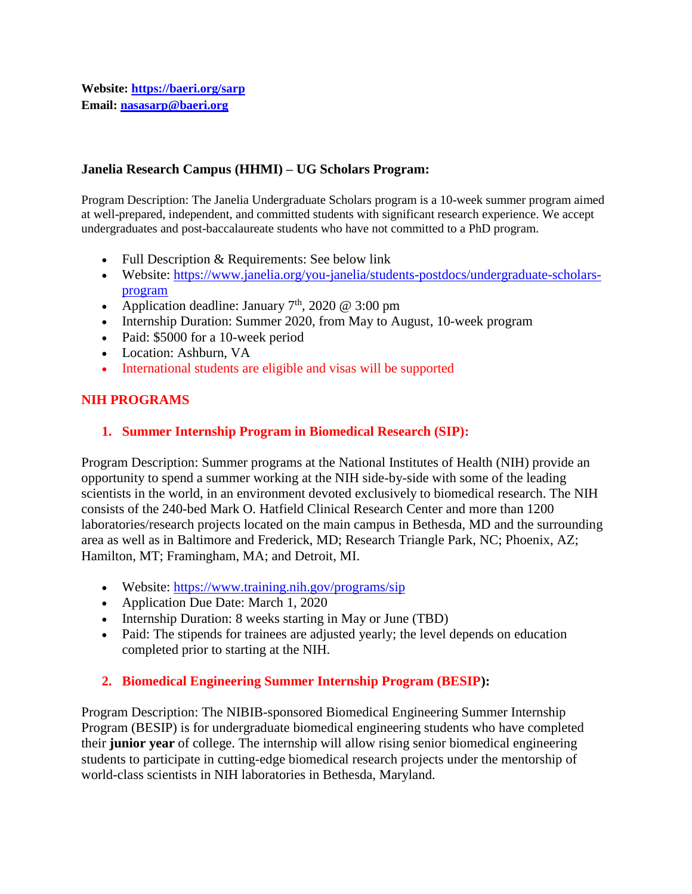#### **Janelia Research Campus (HHMI) – UG Scholars Program:**

Program Description: The Janelia Undergraduate Scholars program is a 10-week summer program aimed at well-prepared, independent, and committed students with significant research experience. We accept undergraduates and post-baccalaureate students who have not committed to a PhD program.

- Full Description & Requirements: See below link
- Website: [https://www.janelia.org/you-janelia/students-postdocs/undergraduate-scholars](https://www.janelia.org/you-janelia/students-postdocs/undergraduate-scholars-program)[program](https://www.janelia.org/you-janelia/students-postdocs/undergraduate-scholars-program)
- Application deadline: January  $7<sup>th</sup>$ , 2020 @ 3:00 pm
- Internship Duration: Summer 2020, from May to August, 10-week program
- Paid: \$5000 for a 10-week period
- Location: Ashburn, VA
- International students are eligible and visas will be supported

### **NIH PROGRAMS**

#### **1. Summer Internship Program in Biomedical Research (SIP):**

Program Description: Summer programs at the National Institutes of Health (NIH) provide an opportunity to spend a summer working at the NIH side-by-side with some of the leading scientists in the world, in an environment devoted exclusively to biomedical research. The NIH consists of the 240-bed Mark O. Hatfield Clinical Research Center and more than 1200 laboratories/research projects located on the main campus in Bethesda, MD and the surrounding area as well as in Baltimore and Frederick, MD; Research Triangle Park, NC; Phoenix, AZ; Hamilton, MT; Framingham, MA; and Detroit, MI.

- Website:<https://www.training.nih.gov/programs/sip>
- Application Due Date: March 1, 2020
- Internship Duration: 8 weeks starting in May or June (TBD)
- Paid: The stipends for trainees are adjusted yearly; the level depends on education completed prior to starting at the NIH.

### **2. Biomedical Engineering Summer Internship Program (BESIP):**

Program Description: The NIBIB-sponsored Biomedical Engineering Summer Internship Program (BESIP) is for undergraduate biomedical engineering students who have completed their **junior year** of college. The internship will allow rising senior biomedical engineering students to participate in cutting-edge biomedical research projects under the mentorship of world-class scientists in NIH laboratories in Bethesda, Maryland.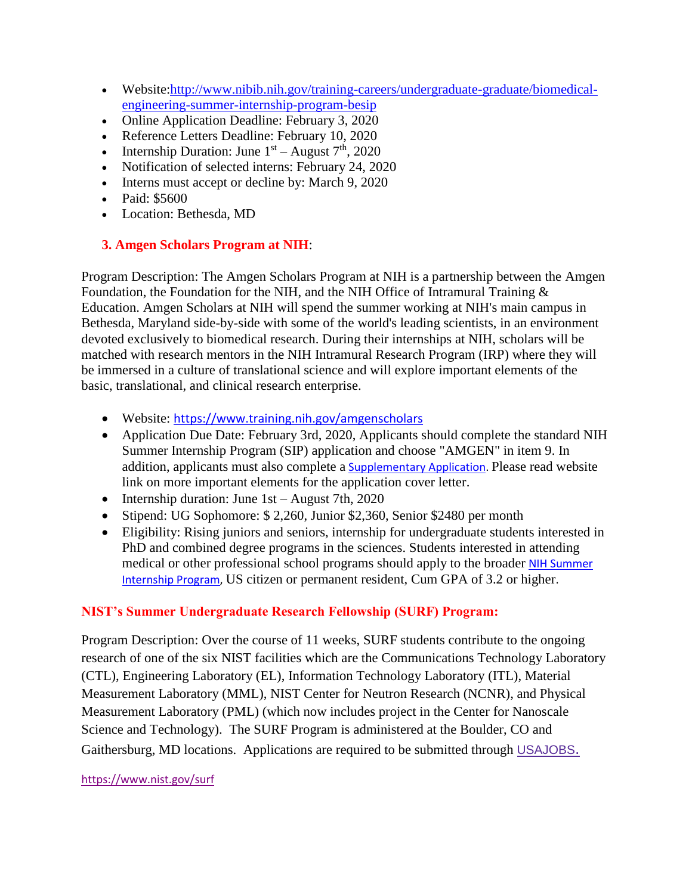- Website[:http://www.nibib.nih.gov/training-careers/undergraduate-graduate/biomedical](http://www.nibib.nih.gov/training-careers/undergraduate-graduate/biomedical-engineering-summer-internship-program-besip)[engineering-summer-internship-program-besip](http://www.nibib.nih.gov/training-careers/undergraduate-graduate/biomedical-engineering-summer-internship-program-besip)
- Online Application Deadline: February 3, 2020
- Reference Letters Deadline: February 10, 2020
- Internship Duration: June  $1<sup>st</sup>$  August  $7<sup>th</sup>$ , 2020
- Notification of selected interns: February 24, 2020
- Interns must accept or decline by: March 9, 2020
- Paid: \$5600
- Location: Bethesda, MD

### **3. Amgen Scholars Program at NIH**:

Program Description: The Amgen Scholars Program at NIH is a partnership between the Amgen Foundation, the Foundation for the NIH, and the NIH Office of Intramural Training & Education. Amgen Scholars at NIH will spend the summer working at NIH's main campus in Bethesda, Maryland side-by-side with some of the world's leading scientists, in an environment devoted exclusively to biomedical research. During their internships at NIH, scholars will be matched with research mentors in the NIH Intramural Research Program (IRP) where they will be immersed in a culture of translational science and will explore important elements of the basic, translational, and clinical research enterprise.

- Website: <https://www.training.nih.gov/amgenscholars>
- Application Due Date: February 3rd, 2020, Applicants should complete the standard NIH Summer Internship Program (SIP) application and choose "AMGEN" in item 9. In addition, applicants must also complete a [Supplementary Application.](https://www.training.nih.gov/sas/_20/1758/?pgc=1) Please read website link on more important elements for the application cover letter.
- Internship duration: June 1st August 7th, 2020
- Stipend: UG Sophomore: \$ 2,260, Junior \$2,360, Senior \$2480 per month
- Eligibility: Rising juniors and seniors, internship for undergraduate students interested in PhD and combined degree programs in the sciences. Students interested in attending medical or other professional school programs should apply to the broader NIH Summer [Internship Program,](https://www.training.nih.gov/programs/sip) US citizen or permanent resident, Cum GPA of 3.2 or higher.

### **NIST's Summer Undergraduate Research Fellowship (SURF) Program:**

Program Description: Over the course of 11 weeks, SURF students contribute to the ongoing research of one of the six NIST facilities which are the Communications Technology Laboratory (CTL), Engineering Laboratory (EL), Information Technology Laboratory (ITL), Material Measurement Laboratory (MML), NIST Center for Neutron Research (NCNR), and Physical Measurement Laboratory (PML) (which now includes project in the Center for Nanoscale Science and Technology). The SURF Program is administered at the Boulder, CO and Gaithersburg, MD locations. Applications are required to be submitted through [USAJOBS](https://www.usajobs.gov/).

#### <https://www.nist.gov/surf>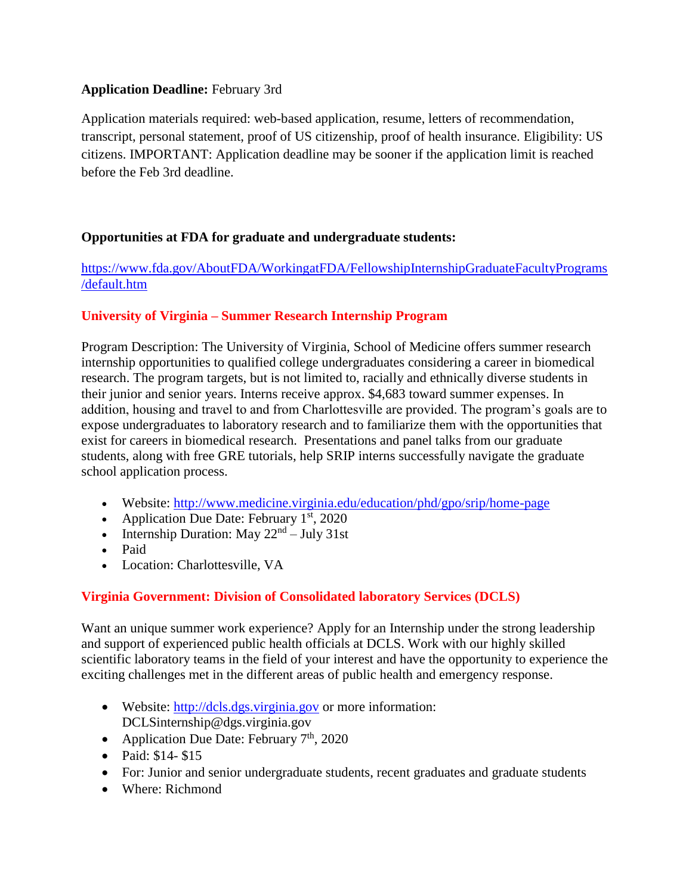### **Application Deadline:** February 3rd

Application materials required: web-based application, resume, letters of recommendation, transcript, personal statement, proof of US citizenship, proof of health insurance. Eligibility: US citizens. IMPORTANT: Application deadline may be sooner if the application limit is reached before the Feb 3rd deadline.

# **Opportunities at FDA for graduate and undergraduate students:**

[https://www.fda.gov/AboutFDA/WorkingatFDA/FellowshipInternshipGraduateFacultyPrograms](https://www.fda.gov/AboutFDA/WorkingatFDA/FellowshipInternshipGraduateFacultyPrograms/default.htm) [/default.htm](https://www.fda.gov/AboutFDA/WorkingatFDA/FellowshipInternshipGraduateFacultyPrograms/default.htm)

# **University of Virginia – Summer Research Internship Program**

Program Description: The University of Virginia, School of Medicine offers summer research internship opportunities to qualified college undergraduates considering a career in biomedical research. The program targets, but is not limited to, racially and ethnically diverse students in their junior and senior years. Interns receive approx. \$4,683 toward summer expenses. In addition, housing and travel to and from Charlottesville are provided. The program's goals are to expose undergraduates to laboratory research and to familiarize them with the opportunities that exist for careers in biomedical research. Presentations and panel talks from our graduate students, along with free GRE tutorials, help SRIP interns successfully navigate the graduate school application process.

- Website:<http://www.medicine.virginia.edu/education/phd/gpo/srip/home-page>
- Application Due Date: February  $1<sup>st</sup>$ , 2020
- Internship Duration: May  $22<sup>nd</sup> July 31st$
- Paid
- Location: Charlottesville, VA

# **Virginia Government: Division of Consolidated laboratory Services (DCLS)**

Want an unique summer work experience? Apply for an Internship under the strong leadership and support of experienced public health officials at DCLS. Work with our highly skilled scientific laboratory teams in the field of your interest and have the opportunity to experience the exciting challenges met in the different areas of public health and emergency response.

- Website: [http://dcls.dgs.virginia.gov](http://dcls.dgs.virginia.gov/) or more information: DCLSinternship@dgs.virginia.gov
- Application Due Date: February  $7<sup>th</sup>$ , 2020
- Paid: \$14- \$15
- For: Junior and senior undergraduate students, recent graduates and graduate students
- Where: Richmond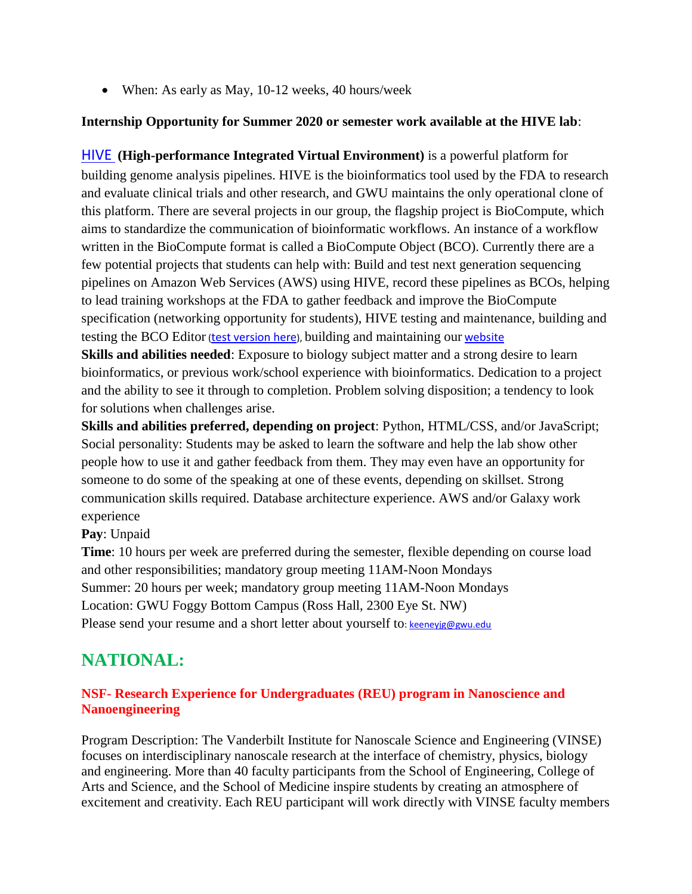• When: As early as May, 10-12 weeks, 40 hours/week

# **Internship Opportunity for Summer 2020 or semester work available at the HIVE lab**:

[HIVE](https://secure-web.cisco.com/1xHglgfWacIcw7mIwTOMRpDDKt_dWJZNa1V8J_W9Ll8NMHkQxcA84GPUet0gjmgbc2iOxP7kkKIfbG4rMdC_Uy6e7Ni0bRuitvl4LP8LLupK5r40FvTEp1M17tjp0hHLvNrwsESI8k7hpnp9Ukkf__lnBN_iqjXBovwkbSTt65V2YAva9eIBnxE0Sntg2vtiLRYgoBePJ_6n3dywHif1StkYIUG3PHfRsg1oGD1PZ44GIb1uv-6ikEKKNg-i2KmmXDRWigSCwlYoYimMRguKZi9SwO3TqUcaHZTByk_WrX2dSJhi6-59IzRFJ9PfEjZVxqK86dlYJqsqlSzQbT4XgQ7vCxQP5fex9TbfV9Wg0PbKPftvLzgvrsOnlQH2SyWYjYcFYWwP2v44MO3xdOEd4vLh7UgT88pBpK_52Bi5S8OjShgiSgntA3yRJQ0grX4c4/https%3A%2F%2Fhive.biochemistry.gwu.edu%2Fdna.cgi%3Fcmd%3Dmain) **(High-performance Integrated Virtual Environment)** is a powerful platform for building genome analysis pipelines. HIVE is the bioinformatics tool used by the FDA to research and evaluate clinical trials and other research, and GWU maintains the only operational clone of this platform. There are several projects in our group, the flagship project is BioCompute, which aims to standardize the communication of bioinformatic workflows. An instance of a workflow written in the BioCompute format is called a BioCompute Object (BCO). Currently there are a few potential projects that students can help with: Build and test next generation sequencing pipelines on Amazon Web Services (AWS) using HIVE, record these pipelines as BCOs, helping to lead training workshops at the FDA to gather feedback and improve the BioCompute specification (networking opportunity for students), HIVE testing and maintenance, building and testing the BCO Editor ([test version here](https://secure-web.cisco.com/1uwj7vpwOGBs7MYdSEcd7JIlKxbaloEy3MLfAv9-89p90AqOlGaUPLkyvo5UwzoluijBDPnQ8hn6Rj_TH7k2515Jc87omJn7H7CGfqO1iXrLMFoTU4wuxHjoEHXApS6qt3DfCKk1h2DOBkTVIO_2NebSBV4lZUDcZLl0h5K3bH7bQBJY6msEWQHZiQO7Cx-jSAv9F9K9GJs11k_n2y3y0qE2MgyEdCBn5LXll6k67oSBfKQsPYUY3OB86Ho9RyYPstz58-kKNitcbmBzbRm8KImhf8SC_3Sh9VtkXrjj0IsUt8nJu4UbGsow_IWifpazudonyCZ8x5zIHY4CUUrkUT6U69hobWKb-VrYB3_p9pEh4C2V0BaTSbkgB_osFhkbyNVlGdDfcVDoUv2TQnvkiK5_ork4IDOHDXzmYrMTbwC-q-rGggC1aEYdwO8Yh5PtB/https%3A%2F%2Fwww.biocomputeobject.org%2Fbco_editor_tst%2F)), building and maintaining our [website](https://secure-web.cisco.com/1lz4EK59lsRSm3u1iS06abTvRI2Z1uX2MAhaDLZEYFAawoACUNj_VMLtBE08V_YIOjU6gsJCnv_GU1s_phFjM85r2Fh9oHgodKdOb6PaLCgpQMjiUTyV58UBv3g7sZFXIt6rh9OXqyvz9aW5Mvdk3QCWZWeIn7t-sAv6XxnkJwPdAkJbfZ6MFR5pzk44zQx9lOqBW9mnnOZQH6SSiRiEIDZuSO33w6Np6NMbqHDTzodEWpm0LVuhKhU6Sc7poFw1rf0cZ8-8Y6fAaRmk46QJfuk93A5oTuaGIgkWwUM2R169ZJ8mYZgcd1CAc2A1jzqwCCcOdMeTPQcWLM10lsXDvJa5npMTeey6UhayY_S8IG3ABRFw_WOn34VoBw5b5cUwUSuh6LPoA57UqIMKDxzh1xQxoYVBT_bPeKhmJmGAYKRweb4uVxOu4SUekq8Xwa9YO/https%3A%2F%2Fwww.biocomputeobject.org)

**Skills and abilities needed:** Exposure to biology subject matter and a strong desire to learn bioinformatics, or previous work/school experience with bioinformatics. Dedication to a project and the ability to see it through to completion. Problem solving disposition; a tendency to look for solutions when challenges arise.

**Skills and abilities preferred, depending on project**: Python, HTML/CSS, and/or JavaScript; Social personality: Students may be asked to learn the software and help the lab show other people how to use it and gather feedback from them. They may even have an opportunity for someone to do some of the speaking at one of these events, depending on skillset. Strong communication skills required. Database architecture experience. AWS and/or Galaxy work experience

# **Pay**: Unpaid

**Time**: 10 hours per week are preferred during the semester, flexible depending on course load and other responsibilities; mandatory group meeting 11AM-Noon Mondays Summer: 20 hours per week; mandatory group meeting 11AM-Noon Mondays Location: GWU Foggy Bottom Campus (Ross Hall, 2300 Eye St. NW) Please send your resume and a short letter about yourself to[: keeneyjg@gwu.edu](mailto:keeneyjp@email.gwu.edu)

# **NATIONAL:**

### **NSF- Research Experience for Undergraduates (REU) program in Nanoscience and Nanoengineering**

Program Description: The Vanderbilt Institute for Nanoscale Science and Engineering (VINSE) focuses on interdisciplinary nanoscale research at the interface of chemistry, physics, biology and engineering. More than 40 faculty participants from the School of Engineering, College of Arts and Science, and the School of Medicine inspire students by creating an atmosphere of excitement and creativity. Each REU participant will work directly with VINSE faculty members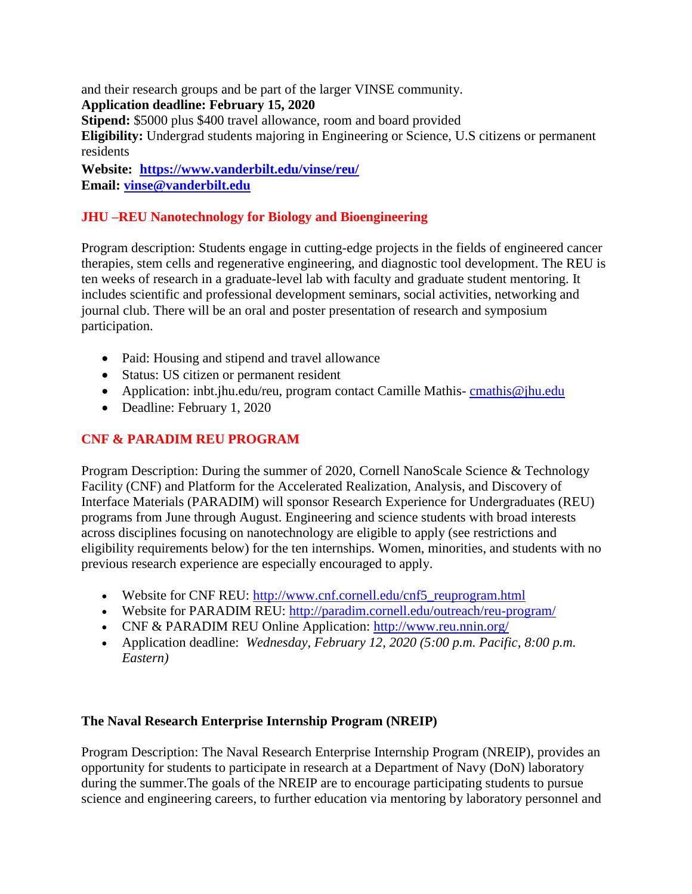and their research groups and be part of the larger VINSE community.

**Application deadline: February 15, 2020**

**Stipend:** \$5000 plus \$400 travel allowance, room and board provided

**Eligibility:** Undergrad students majoring in Engineering or Science, U.S citizens or permanent residents

**Website: [https://www.vanderbilt.edu/vinse/reu/](https://secure-web.cisco.com/1z27L0vuTseFs_828MLWHc1sqAQZe6U3O2Bt1b4MDQT77fiDwlpf0lEZOtJZOo_ojU0AKPB-ieHhfdlIpI3vcQgi8PPDAvPx4mkpU9_x23Ev8rcd-RjTqMMNUEa_fiFo71VIn5BzmmUPiu5MnWk1aVkWQI58d6r3ChC-TnT6QIEvC0R_6V_vZQDQL8uLdg2qfzADnHQHcckyMk8644k-s9s_aERd9XPr8Wzmx7s6Y-WdRetFh96pkyR7mV5S2NkdKO9nybldar5rIKB5mQMWTLa7GXYxuOi88xpvS_3X3f5F5F3ycwcC2UopnZUu0CIorPiYEI3XuJKh4_2Jh4h4uYNtyqoafB6tZTxP2B52KF2Bhj-o1O74npbRFi_q8i3Ubn9OP64UsRD9Wl16GlDgE1G67ox8T_3JqZPo4wYXu7r-quF39n5KZv1my0dExFJ8YtGYGJsxxsJKWEItIkTi0Yw/https%3A%2F%2Fwww.vanderbilt.edu%2Fvinse%2Freu%2F) Email: vinse@vanderbilt.edu**

# **JHU –REU Nanotechnology for Biology and Bioengineering**

Program description: Students engage in cutting-edge projects in the fields of engineered cancer therapies, stem cells and regenerative engineering, and diagnostic tool development. The REU is ten weeks of research in a graduate-level lab with faculty and graduate student mentoring. It includes scientific and professional development seminars, social activities, networking and journal club. There will be an oral and poster presentation of research and symposium participation.

- Paid: Housing and stipend and travel allowance
- Status: US citizen or permanent resident
- Application: inbt.jhu.edu/reu, program contact Camille Mathis-[cmathis@jhu.edu](mailto:cmathis@jhu.edu)
- Deadline: February 1, 2020

# **CNF & PARADIM REU PROGRAM**

Program Description: During the summer of 2020, Cornell NanoScale Science & Technology Facility (CNF) and Platform for the Accelerated Realization, Analysis, and Discovery of Interface Materials (PARADIM) will sponsor Research Experience for Undergraduates (REU) programs from June through August. Engineering and science students with broad interests across disciplines focusing on nanotechnology are eligible to apply (see restrictions and eligibility requirements below) for the ten internships. Women, minorities, and students with no previous research experience are especially encouraged to apply.

- Website for CNF REU: [http://www.cnf.cornell.edu/cnf5\\_reuprogram.html](http://www.cnf.cornell.edu/cnf5_reuprogram.html)
- Website for PARADIM REU:<http://paradim.cornell.edu/outreach/reu-program/>
- CNF & PARADIM REU Online Application:<http://www.reu.nnin.org/>
- Application deadline: *Wednesday, February 12, 2020 (5:00 p.m. Pacific, 8:00 p.m. Eastern)*

# **The Naval Research Enterprise Internship Program (NREIP)**

Program Description: The Naval Research Enterprise Internship Program (NREIP), provides an opportunity for students to participate in research at a Department of Navy (DoN) laboratory during the summer.The goals of the NREIP are to encourage participating students to pursue science and engineering careers, to further education via mentoring by laboratory personnel and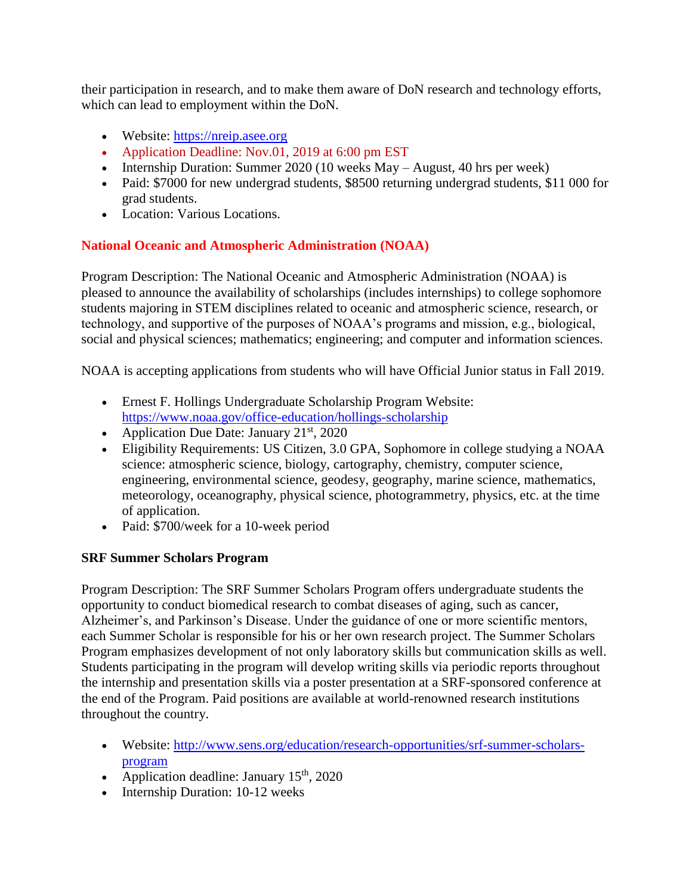their participation in research, and to make them aware of DoN research and technology efforts, which can lead to employment within the DoN.

- Website: [https://nreip.asee.org](https://nreip.asee.org/)
- Application Deadline: Nov.01, 2019 at 6:00 pm EST
- Internship Duration: Summer 2020 (10 weeks May August, 40 hrs per week)
- Paid: \$7000 for new undergrad students, \$8500 returning undergrad students, \$11 000 for grad students.
- Location: Various Locations.

# **National Oceanic and Atmospheric Administration (NOAA)**

Program Description: The National Oceanic and Atmospheric Administration (NOAA) is pleased to announce the availability of scholarships (includes internships) to college sophomore students majoring in STEM disciplines related to oceanic and atmospheric science, research, or technology, and supportive of the purposes of NOAA's programs and mission, e.g., biological, social and physical sciences; mathematics; engineering; and computer and information sciences.

NOAA is accepting applications from students who will have Official Junior status in Fall 2019.

- Ernest F. Hollings Undergraduate Scholarship Program Website: https://www.noaa.gov/office-education/hollings-scholarship
- Application Due Date: January  $21<sup>st</sup>$ , 2020
- Eligibility Requirements: US Citizen, 3.0 GPA, Sophomore in college studying a NOAA science: atmospheric science, biology, cartography, chemistry, computer science, engineering, environmental science, geodesy, geography, marine science, mathematics, meteorology, oceanography, physical science, photogrammetry, physics, etc. at the time of application.
- Paid: \$700/week for a 10-week period

# **SRF Summer Scholars Program**

Program Description: The SRF Summer Scholars Program offers undergraduate students the opportunity to conduct biomedical research to combat diseases of aging, such as cancer, Alzheimer's, and Parkinson's Disease. Under the guidance of one or more scientific mentors, each Summer Scholar is responsible for his or her own research project. The Summer Scholars Program emphasizes development of not only laboratory skills but communication skills as well. Students participating in the program will develop writing skills via periodic reports throughout the internship and presentation skills via a poster presentation at a SRF-sponsored conference at the end of the Program. Paid positions are available at world-renowned research institutions throughout the country.

- Website: http://www.sens.org/education/research-opportunities/srf-summer-scholarsprogram
- Application deadline: January  $15<sup>th</sup>$ , 2020
- Internship Duration: 10-12 weeks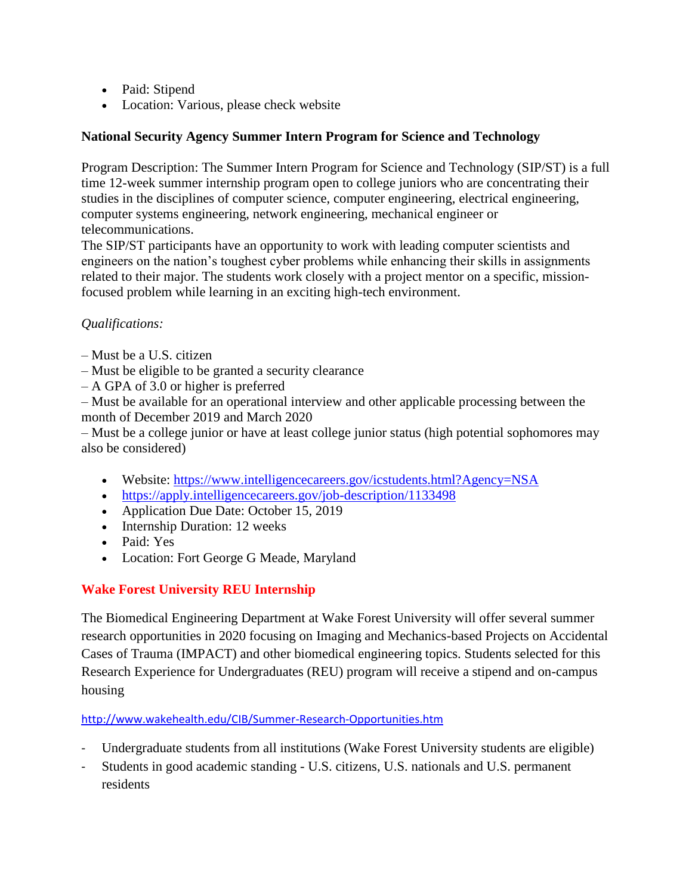- Paid: Stipend
- Location: Various, please check website

# **National Security Agency Summer Intern Program for Science and Technology**

Program Description: The Summer Intern Program for Science and Technology (SIP/ST) is a full time 12-week summer internship program open to college juniors who are concentrating their studies in the disciplines of computer science, computer engineering, electrical engineering, computer systems engineering, network engineering, mechanical engineer or telecommunications.

The SIP/ST participants have an opportunity to work with leading computer scientists and engineers on the nation's toughest cyber problems while enhancing their skills in assignments related to their major. The students work closely with a project mentor on a specific, missionfocused problem while learning in an exciting high-tech environment.

# *Qualifications:*

- Must be a U.S. citizen
- Must be eligible to be granted a security clearance
- A GPA of 3.0 or higher is preferred

– Must be available for an operational interview and other applicable processing between the month of December 2019 and March 2020

– Must be a college junior or have at least college junior status (high potential sophomores may also be considered)

- Website:<https://www.intelligencecareers.gov/icstudents.html?Agency=NSA>
- <https://apply.intelligencecareers.gov/job-description/1133498>
- Application Due Date: October 15, 2019
- Internship Duration: 12 weeks
- Paid: Yes
- Location: Fort George G Meade, Maryland

# **Wake Forest University REU Internship**

The Biomedical Engineering Department at Wake Forest University will offer several summer research opportunities in 2020 focusing on Imaging and Mechanics-based Projects on Accidental Cases of Trauma (IMPACT) and other biomedical engineering topics. Students selected for this Research Experience for Undergraduates (REU) program will receive a stipend and on-campus housing

<http://www.wakehealth.edu/CIB/Summer-Research-Opportunities.htm>

- Undergraduate students from all institutions (Wake Forest University students are eligible)
- Students in good academic standing U.S. citizens, U.S. nationals and U.S. permanent residents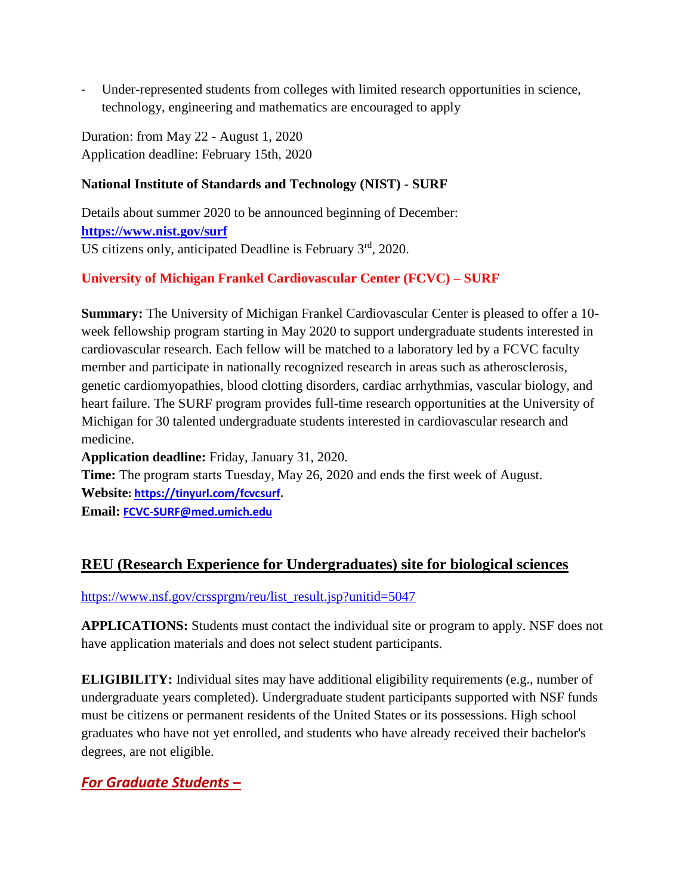Under-represented students from colleges with limited research opportunities in science, technology, engineering and mathematics are encouraged to apply

Duration: from May 22 - August 1, 2020 Application deadline: February 15th, 2020

### **National Institute of Standards and Technology (NIST) - SURF**

Details about summer 2020 to be announced beginning of December: **<https://www.nist.gov/surf>** US citizens only, anticipated Deadline is February  $3<sup>rd</sup>$ , 2020.

# **University of Michigan Frankel Cardiovascular Center (FCVC) – SURF**

**Summary:** The University of Michigan Frankel Cardiovascular Center is pleased to offer a 10 week fellowship program starting in May 2020 to support undergraduate students interested in cardiovascular research. Each fellow will be matched to a laboratory led by a FCVC faculty member and participate in nationally recognized research in areas such as atherosclerosis, genetic cardiomyopathies, blood clotting disorders, cardiac arrhythmias, vascular biology, and heart failure. The SURF program provides full-time research opportunities at the University of Michigan for 30 talented undergraduate students interested in cardiovascular research and medicine.

**Application deadline:** Friday, January 31, 2020.

**Time:** The program starts Tuesday, May 26, 2020 and ends the first week of August. **Website: [https://tinyurl.com/fcvcsurf.](https://secure-web.cisco.com/1YHeML8hd_C9XxHXZn9_Fq5-WBORdXwcb92eGZDFOlNWdMJAzts-ad8Z352CZDxX_eB-eA8ZHId0gaflmddukRtrYTbogBQ5rRLsfKjsg2pPXvry8VxUqLh8yjQFfPyPqIFoj-Dt81Xx01I2Rw3kc3fbQmsBZEzm3mYlKC-yTm_CK-M3xj7Pewi1HC2Jmr4HT54ZApIrJ3NZog136jMcuii5NRO9rdUWjHHPaerDsymuOgDIJSfbfhUPGAYYypqVeMEMNnDp08mqmFcShu8ep46M-qv-TFN3_VI-2oAYjAFMD3Ct5oaCm4cQcLqpiZS0t_sRtMx_iElQAkb6424EaLccbhML6VoKKNU8TqzdM1g4bHXZNAEi0ReedHsJCIMXnb5Is8DnBvvK_mv8uQDJ1X3Co6xBwgBwHzuWXJlsqnAWdK81PQo17mBDwkXzP_-uq/https%3A%2F%2Ftinyurl.com%2Ffcvcsurf)**

**Email: [FCVC-SURF@med.umich.edu](mailto:FCVC-SURF@med.umich.edu)**

# **REU (Research Experience for Undergraduates) site for biological sciences**

[https://www.nsf.gov/crssprgm/reu/list\\_result.jsp?unitid=5047](https://www.nsf.gov/crssprgm/reu/list_result.jsp?unitid=5047)

**APPLICATIONS:** Students must contact the individual site or program to apply. NSF does not have application materials and does not select student participants.

**ELIGIBILITY:** Individual sites may have additional eligibility requirements (e.g., number of undergraduate years completed). Undergraduate student participants supported with NSF funds must be citizens or permanent residents of the United States or its possessions. High school graduates who have not yet enrolled, and students who have already received their bachelor's degrees, are not eligible.

# *For Graduate Students –*